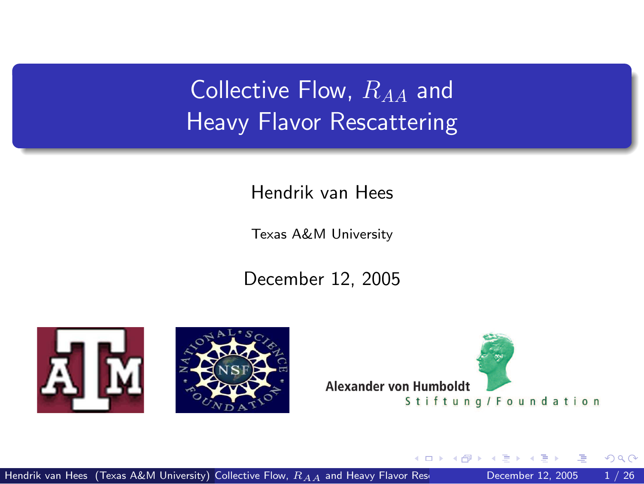Collective Flow,  $R_{AA}$  and Heavy Flavor Rescattering

Hendrik van Hees

Texas A&M University

December 12, 2005







<span id="page-0-0"></span>4 D F

Hendrik van Hees (Texas A&M University) Collective Flow,  $R_{AA}$  [and Heavy Flavor Rescattering](#page-35-0) December 12, 2005 1/26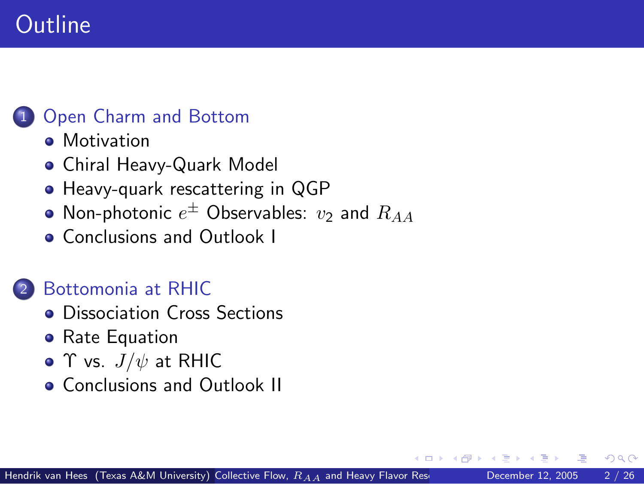## **Outline**

#### [Open Charm and Bottom](#page-2-0)

- **•** [Motivation](#page-2-0)
- [Chiral Heavy-Quark Model](#page-5-0)
- [Heavy-quark rescattering in QGP](#page-10-0)
- [Non-photonic](#page-17-0)  $e^\pm$  Observables:  $v_2$  and  $R_{AA}$
- **[Conclusions and Outlook I](#page-22-0)**

### 2 [Bottomonia at RHIC](#page-24-0)

- **•** [Dissociation Cross Sections](#page-27-0)
- [Rate Equation](#page-29-0)
- Υ vs.  $J/\psi$  [at RHIC](#page-30-0)
- **[Conclusions and Outlook II](#page-31-0)**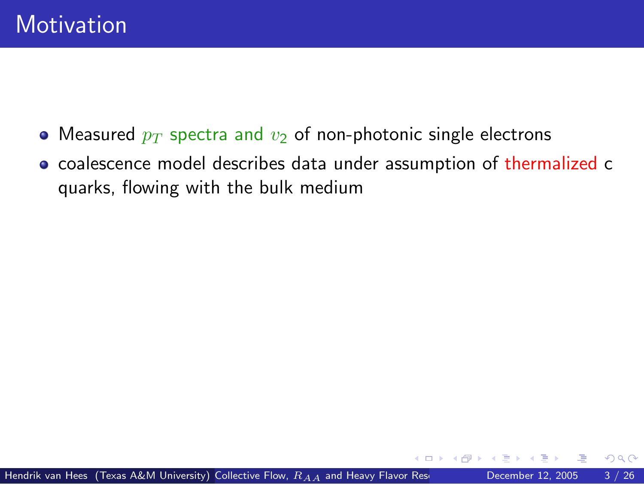- Measured  $p_T$  spectra and  $v_2$  of non-photonic single electrons
- <span id="page-2-0"></span>coalescence model describes data under assumption of thermalized c quarks, flowing with the bulk medium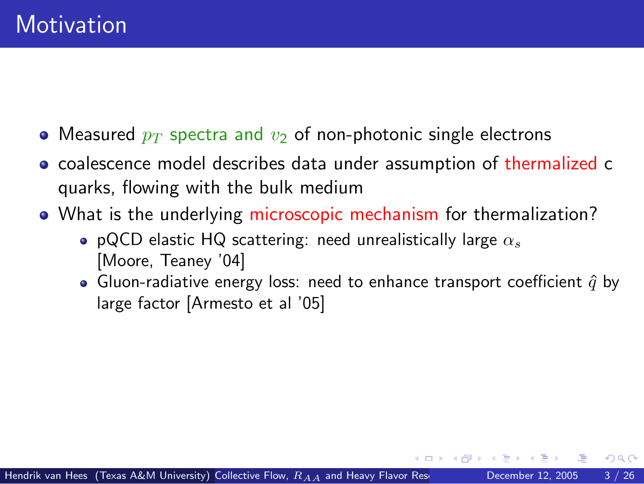- Measured  $p_T$  spectra and  $v_2$  of non-photonic single electrons
- coalescence model describes data under assumption of thermalized c quarks, flowing with the bulk medium
- What is the underlying microscopic mechanism for thermalization?
	- pQCD elastic HQ scattering: need unrealistically large  $\alpha_s$ [Moore, Teaney '04]
	- Gluon-radiative energy loss: need to enhance transport coefficient  $\hat{q}$  by large factor [Armesto et al '05]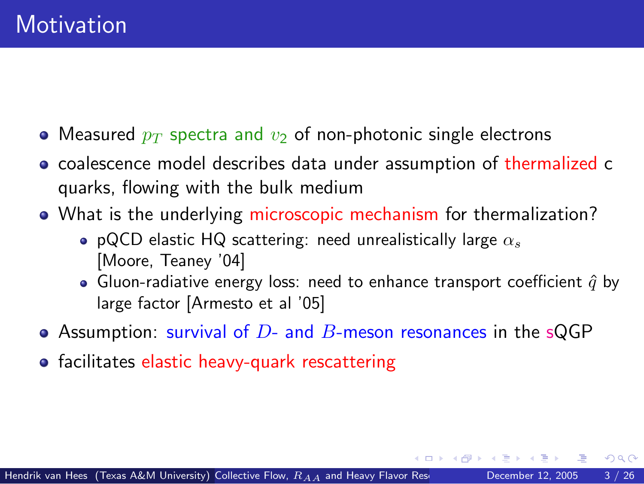- Measured  $p_T$  spectra and  $v_2$  of non-photonic single electrons
- coalescence model describes data under assumption of thermalized c quarks, flowing with the bulk medium
- What is the underlying microscopic mechanism for thermalization?
	- pQCD elastic HQ scattering: need unrealistically large  $\alpha_s$ [Moore, Teaney '04]
	- Gluon-radiative energy loss: need to enhance transport coefficient  $\hat{q}$  by large factor [Armesto et al '05]
- Assumption: survival of  $D$  and  $B$ -meson resonances in the sQGP
- **•** facilitates elastic heavy-quark rescattering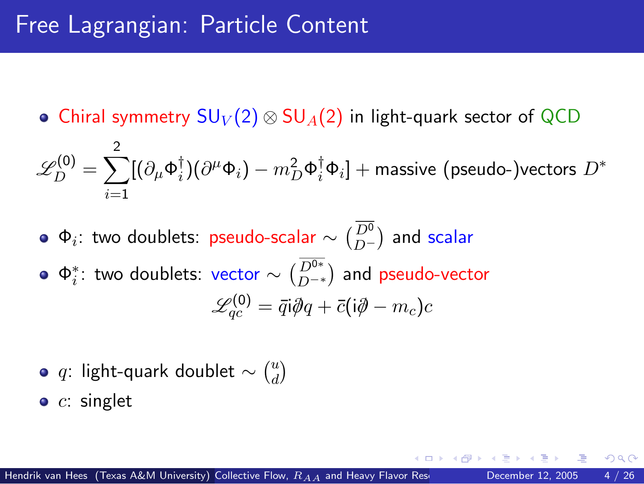• Chiral symmetry  $SU_V(2) \otimes SU_A(2)$  in light-quark sector of QCD

$$
\mathscr{L}_{D}^{(0)} = \sum_{i=1}^{2} [(\partial_{\mu} \Phi_{i}^{\dagger})(\partial^{\mu} \Phi_{i}) - m_{D}^{2} \Phi_{i}^{\dagger} \Phi_{i}] + \text{massive (pseudo-)vectors } D^{*}
$$

 $\Phi_i$ : two doublets: pseudo-scalar  $\sim \binom{D^0}{D^+}$  and scalar  $\Phi_i^*$ : two doublets: vector  $\sim \binom{D^{0*}}{D^{-*}}$  and pseudo-vector  $\mathscr{L}^{(0)}_{qc} = \bar{q}\mathfrak{i}\partial\!\!\!/\, q + \bar{c}(\mathfrak{i}\partial\!\!\!/- m_c)c$ 

 $q$ : light-quark doublet  $\sim \binom{u}{d}$  $\binom{u}{d}$ 

 $\bullet$  c: singlet

<span id="page-5-0"></span>つへへ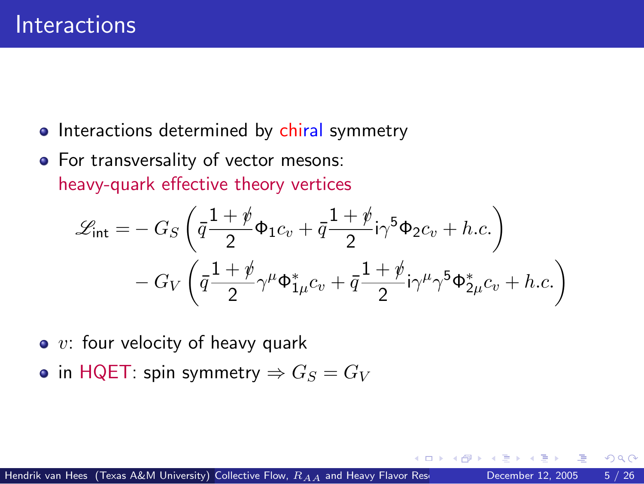- Interactions determined by chiral symmetry
- For transversality of vector mesons: heavy-quark effective theory vertices

$$
\mathcal{L}_{\text{int}} = -G_S \left( \bar{q} \frac{1+\rlap/v}{2} \Phi_1 c_v + \bar{q} \frac{1+\rlap/v}{2} i \gamma^5 \Phi_2 c_v + h.c. \right) \n- G_V \left( \bar{q} \frac{1+\rlap/v}{2} \gamma^\mu \Phi_{1\mu}^* c_v + \bar{q} \frac{1+\rlap/v}{2} i \gamma^\mu \gamma^5 \Phi_{2\mu}^* c_v + h.c. \right)
$$

- $\bullet$  v: four velocity of heavy quark
- in HQET: spin symmetry  $\Rightarrow G_S = G_V$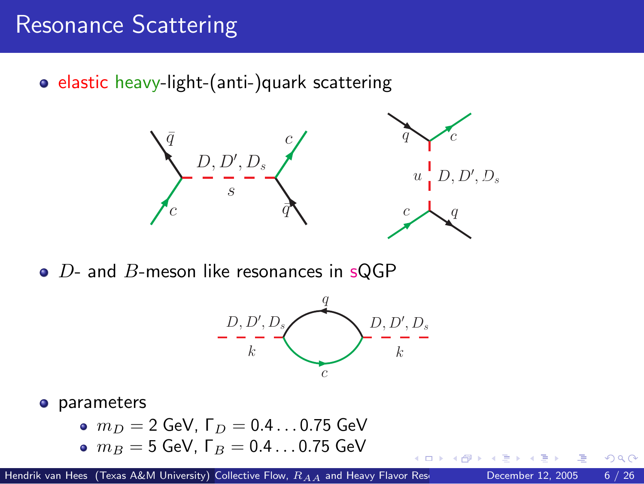### Resonance Scattering

• elastic heavy-light-(anti-)quark scattering



 $\bullet$  D- and B-meson like resonances in sQGP



**o** parameters

 $m_D = 2$  GeV,  $\Gamma_D = 0.4 \dots 0.75$  GeV  $m_B = 5$  GeV,  $\Gamma_B = 0.4 \dots 0.75$  GeV

Hendrik van Hees (Texas A&M University) Collective Flow,  $R_{A,A}$  [and Heavy Flavor Rescattering](#page-0-0) December 12, 2005 6 / 26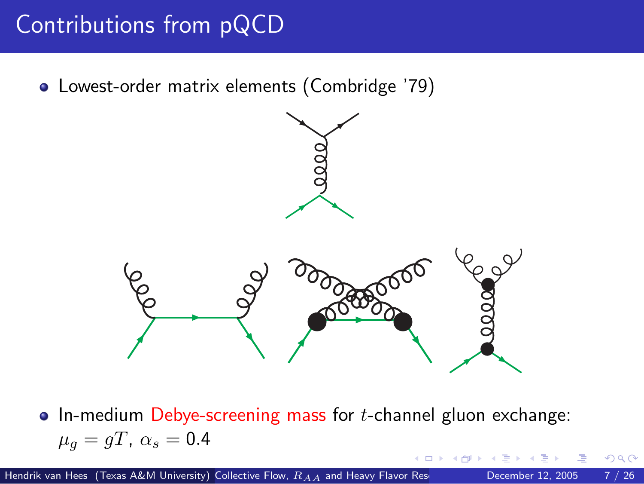## Contributions from pQCD

Lowest-order matrix elements (Combridge '79)





 $\bullet$  In-medium Debye-screening mass for *t*-channel gluon exchange:  $\mu_q = gT$ ,  $\alpha_s = 0.4$ 

つひひ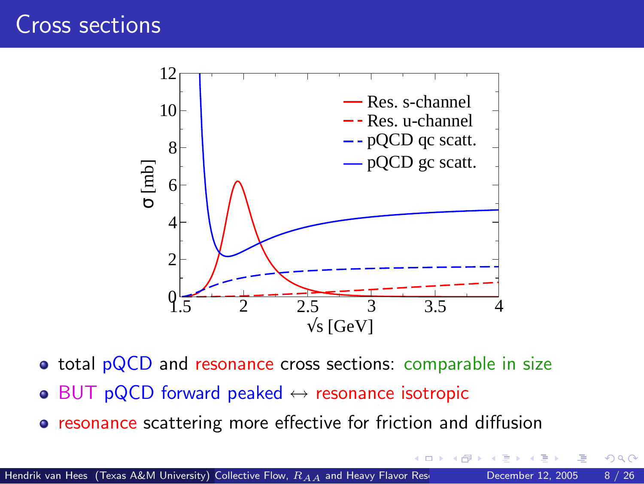### Cross sections



• total pQCD and resonance cross sections: comparable in size

- $\bullet$  BUT pQCD forward peaked  $\leftrightarrow$  resonance isotropic
- **•** resonance scattering more effective for friction and diffusion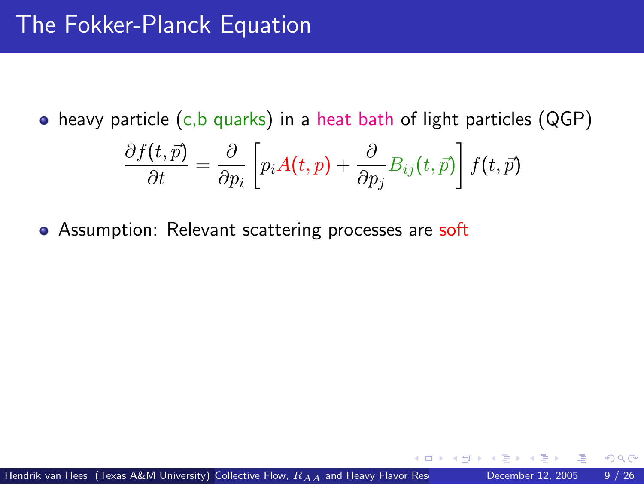$\bullet$  heavy particle (c,b quarks) in a heat bath of light particles (QGP)

<span id="page-10-0"></span>
$$
\frac{\partial f(t,\vec{p})}{\partial t} = \frac{\partial}{\partial p_i} \left[ p_i A(t,p) + \frac{\partial}{\partial p_j} B_{ij}(t,\vec{p}) \right] f(t,\vec{p})
$$

• Assumption: Relevant scattering processes are soft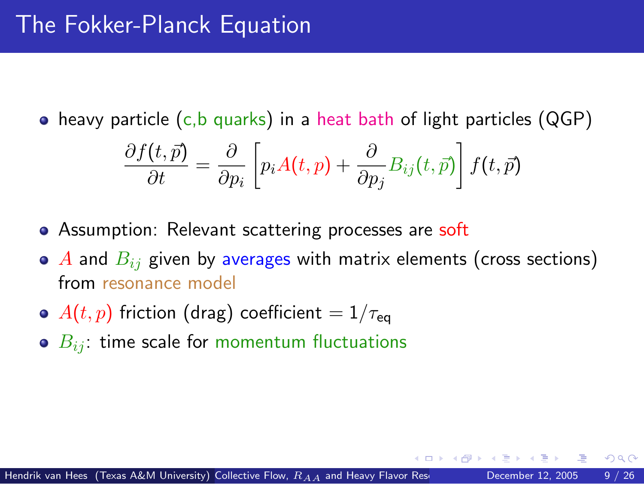$\bullet$  heavy particle (c,b quarks) in a heat bath of light particles (QGP)

$$
\frac{\partial f(t,\vec{p})}{\partial t} = \frac{\partial}{\partial p_i} \left[ p_i A(t,p) + \frac{\partial}{\partial p_j} B_{ij}(t,\vec{p}) \right] f(t,\vec{p})
$$

- Assumption: Relevant scattering processes are soft
- $\bullet$  A and  $B_{ij}$  given by averages with matrix elements (cross sections) from resonance model
- $\bullet$   $A(t, p)$  friction (drag) coefficient =  $1/\tau_{eq}$
- $\bullet$   $B_{ij}$ : time scale for momentum fluctuations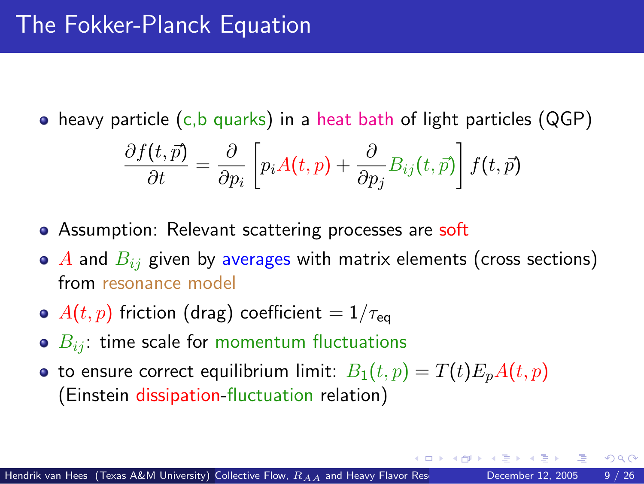$\bullet$  heavy particle (c,b quarks) in a heat bath of light particles (QGP)

$$
\frac{\partial f(t,\vec{p})}{\partial t} = \frac{\partial}{\partial p_i} \left[ p_i A(t,p) + \frac{\partial}{\partial p_j} B_{ij}(t,\vec{p}) \right] f(t,\vec{p})
$$

- Assumption: Relevant scattering processes are soft
- $\bullet$  A and  $B_{ij}$  given by averages with matrix elements (cross sections) from resonance model
- $\bullet$   $A(t, p)$  friction (drag) coefficient =  $1/\tau_{eq}$
- $\bullet$   $B_{ii}$ : time scale for momentum fluctuations
- to ensure correct equilibrium limit:  $B_1(t, p) = T(t)E_nA(t, p)$ (Einstein dissipation-fluctuation relation)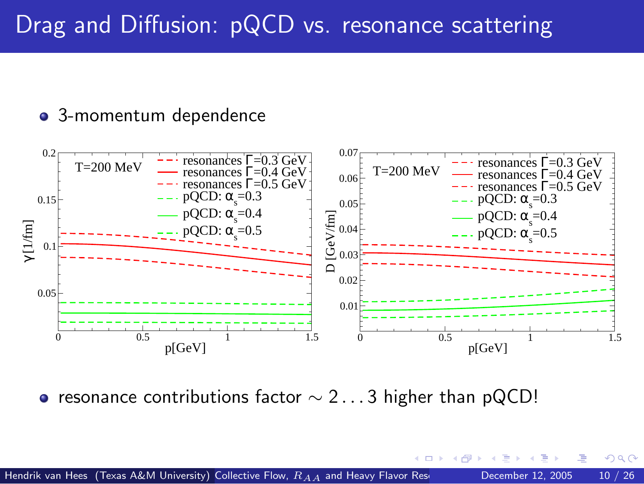### Drag and Diffusion: pQCD vs. resonance scattering

#### 3-momentum dependence



 $\Omega$ 

• resonance contributions factor  $\sim$  2...3 higher than pQCD!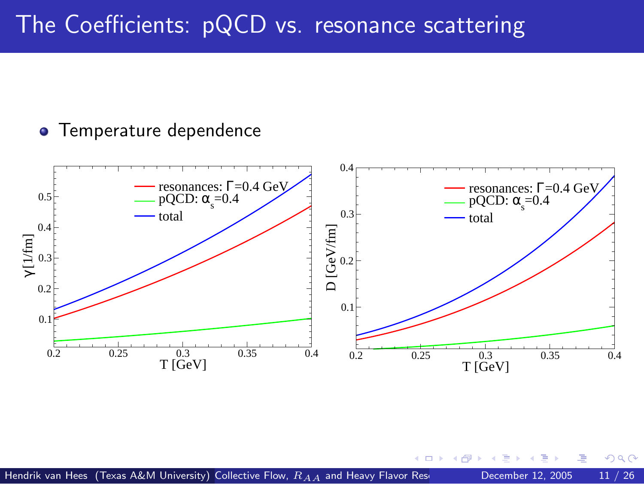### The Coefficients: pQCD vs. resonance scattering

#### **• Temperature dependence**



<span id="page-14-0"></span> $\Box$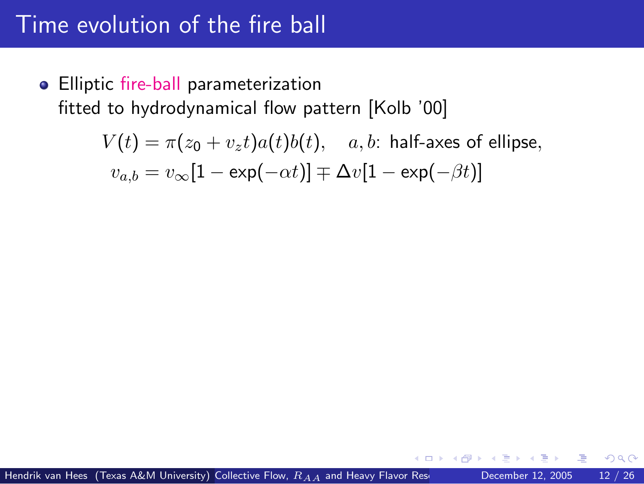### Time evolution of the fire ball

• Elliptic fire-ball parameterization fitted to hydrodynamical flow pattern [Kolb '00]

<span id="page-15-0"></span>
$$
V(t) = \pi(z_0 + v_z t)a(t)b(t), \quad a, b: \text{ half-axes of ellipse,}
$$
  

$$
v_{a,b} = v_{\infty}[1 - \exp(-\alpha t)] \mp \Delta v[1 - \exp(-\beta t)]
$$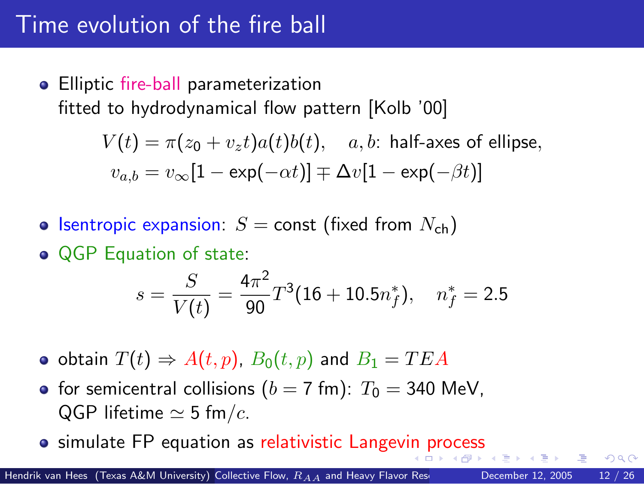### Time evolution of the fire ball

• Elliptic fire-ball parameterization fitted to hydrodynamical flow pattern [Kolb '00]

$$
V(t) = \pi(z_0 + v_z t)a(t)b(t), \quad a, b: \text{ half-axes of ellipse,}
$$
  

$$
v_{a,b} = v_{\infty}[1 - \exp(-\alpha t)] \mp \Delta v[1 - \exp(-\beta t)]
$$

- **•** Isentropic expansion:  $S =$  const (fixed from  $N_{ch}$ )
- **QGP** Equation of state:

<span id="page-16-0"></span>
$$
s = \frac{S}{V(t)} = \frac{4\pi^2}{90}T^3(16 + 10.5n_f^*), \quad n_f^* = 2.5
$$

- obtain  $T(t) \Rightarrow A(t,p)$ ,  $B_0(t,p)$  and  $B_1 = TEA$
- for semicentral collisions ( $b = 7$  fm):  $T_0 = 340$  MeV. QGP lifetime  $\simeq$  5 fm/c.
- **•** simulate FP equation as relativistic Langev[in](#page-15-0) [pro](#page-17-0)[c](#page-14-0)[e](#page-15-0)[s](#page-17-0)s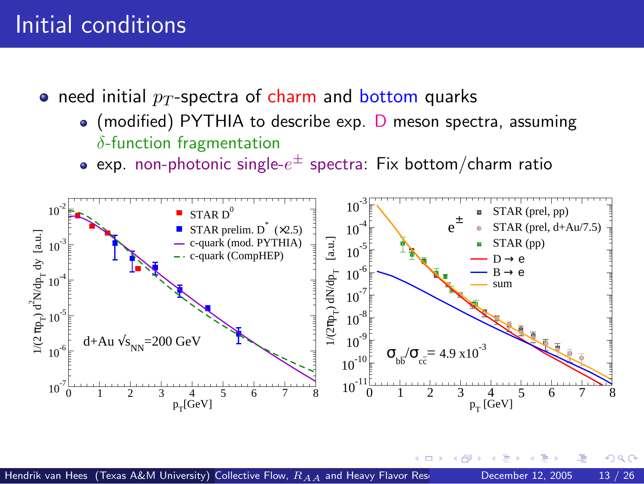### Initial conditions

- need initial  $p_T$ -spectra of charm and bottom quarks
	- (modified) PYTHIA to describe exp. D meson spectra, assuming  $\delta$ -function fragmentation
	- exp. non-photonic single- $e^\pm$  spectra: Fix bottom/charm ratio

<span id="page-17-0"></span>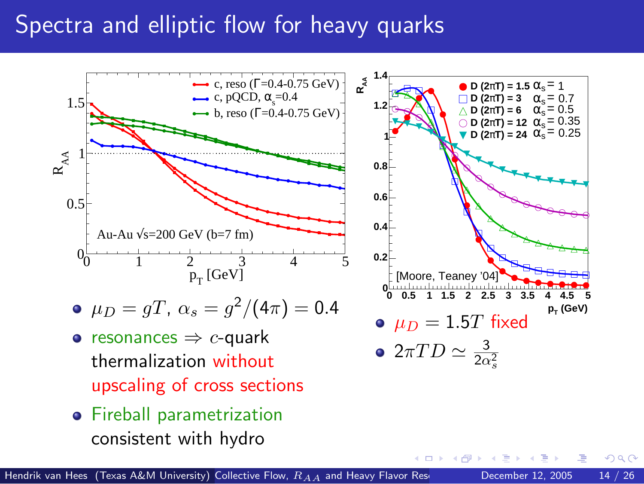### Spectra and elliptic flow for heavy quarks



**•** Fireball parametrization consistent with hydro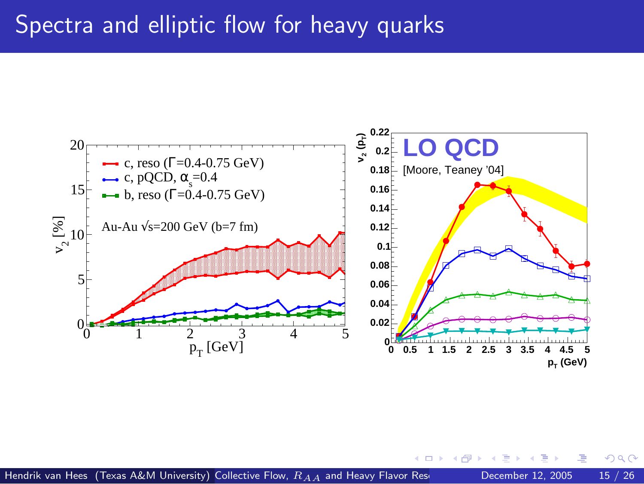### Spectra and elliptic flow for heavy quarks

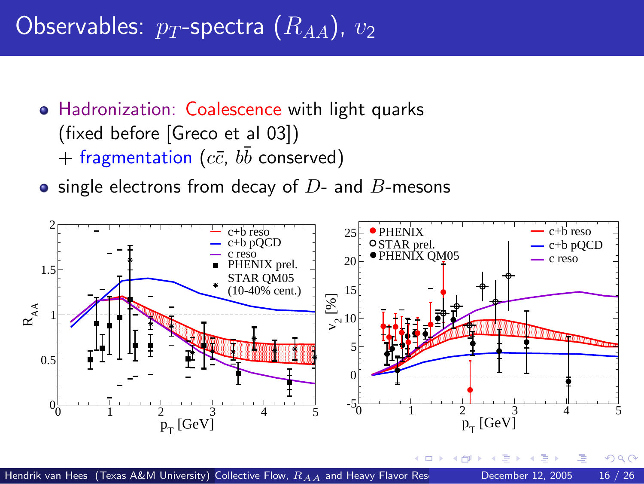# Observables:  $p_T$ -spectra  $(R_{AA})$ ,  $v_2$

- Hadronization: Coalescence with light quarks (fixed before [Greco et al 03])  $+$  fragmentation  $(c\bar{c},\,b\bar{b}% )\,$  conserved)
- $\bullet$  single electrons from decay of  $D$  and  $B$ -mesons

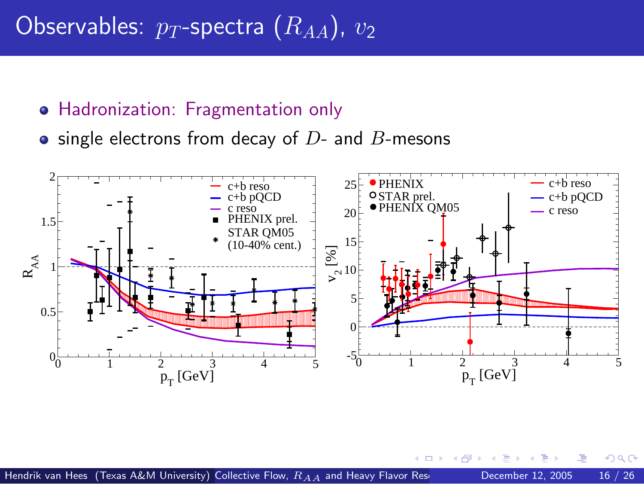## Observables:  $p_T$ -spectra  $(R_{AA})$ ,  $v_2$

#### Hadronization: Fragmentation only

 $\bullet$  single electrons from decay of  $D$ - and  $B$ -mesons



 $\blacksquare$ 

 $QQ$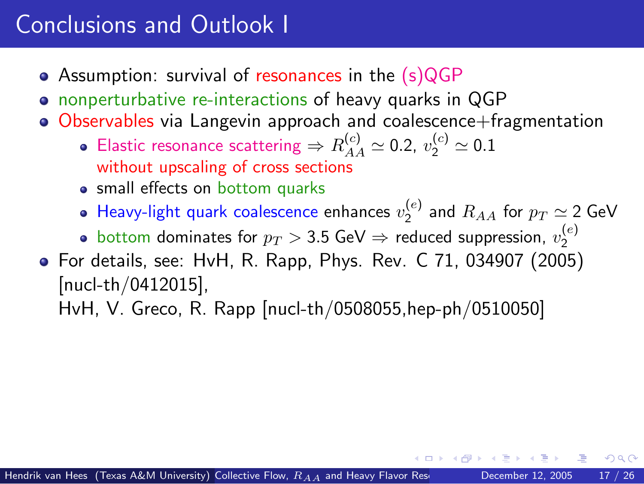## Conclusions and Outlook I

- Assumption: survival of resonances in the (s)QGP
- nonperturbative re-interactions of heavy quarks in QGP
- Observables via Langevin approach and coalescence+fragmentation
	- Elastic resonance scattering  $\Rightarrow R^{(c)}_{AA} \simeq$  0.2,  $v_2^{(c)} \simeq$  0.1 without upscaling of cross sections
	- small effects on bottom quarks
	- Heavy-light quark coalescence enhances  $v_2^{(e)}$  and  $R_{AA}$  for  $p_T \simeq$  2 GeV

<span id="page-22-0"></span>つひひ

- bottom dominates for  $p_T > 3.5$  GeV  $\Rightarrow$  reduced suppression,  $v_2^{(e)}$
- For details, see: HvH, R. Rapp, Phys. Rev. C 71, 034907 (2005) [nucl-th/0412015],

HvH, V. Greco, R. Rapp [nucl-th/0508055,hep-ph/0510050]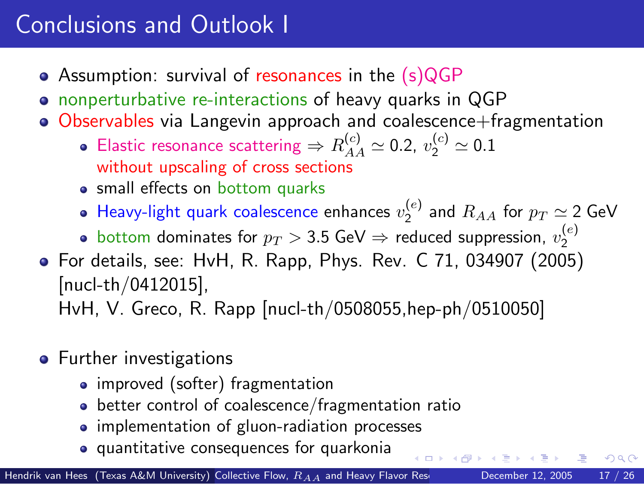# Conclusions and Outlook I

- Assumption: survival of resonances in the (s)QGP
- nonperturbative re-interactions of heavy quarks in QGP
- Observables via Langevin approach and coalescence+fragmentation
	- Elastic resonance scattering  $\Rightarrow R^{(c)}_{AA} \simeq$  0.2,  $v_2^{(c)} \simeq$  0.1 without upscaling of cross sections
	- small effects on bottom quarks
	- Heavy-light quark coalescence enhances  $v_2^{(e)}$  and  $R_{AA}$  for  $p_T \simeq$  2 GeV
	- bottom dominates for  $p_T > 3.5$  GeV  $\Rightarrow$  reduced suppression,  $v_2^{(e)}$
- For details, see: HvH, R. Rapp, Phys. Rev. C 71, 034907 (2005) [nucl-th/0412015],

HvH, V. Greco, R. Rapp [nucl-th/0508055,hep-ph/0510050]

- **•** Further investigations
	- improved (softer) fragmentation
	- **•** better control of coalescence/fragmentation ratio
	- implementation of gluon-radiation processes
	- quantitative consequences for quarkonia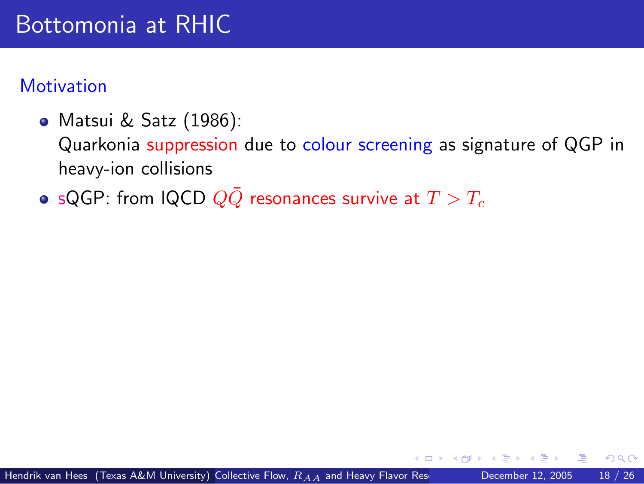### Bottomonia at RHIC

#### **Motivation**

Matsui & Satz (1986):

Quarkonia suppression due to colour screening as signature of QGP in heavy-ion collisions

<span id="page-24-0"></span>• sQGP: from IQCD  $Q\bar{Q}$  resonances survive at  $T > T_c$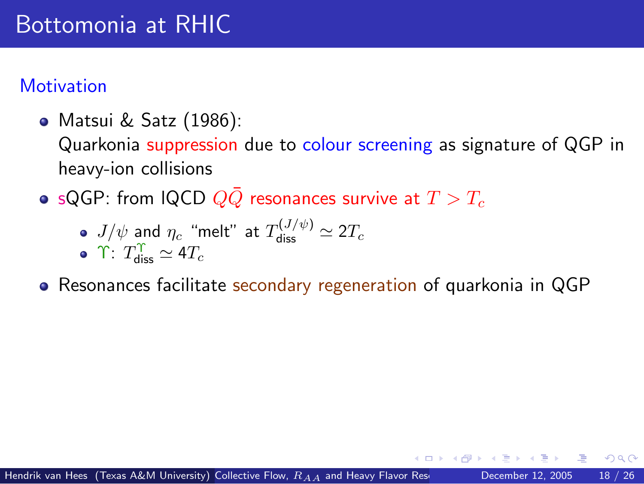## Bottomonia at RHIC

#### **Motivation**

Matsui & Satz (1986):

Quarkonia suppression due to colour screening as signature of QGP in heavy-ion collisions

• sQGP: from IQCD  $Q\bar{Q}$  resonances survive at  $T > T_c$ 

\n- • 
$$
J/\psi
$$
 and  $\eta_c$  "melt" at  $T_{\text{diss}}^{(J/\psi)} \simeq 2T_c$
\n- •  $T_{\text{diss}}^{\Upsilon} \simeq 4T_c$
\n

Resonances facilitate secondary regeneration of quarkonia in QGP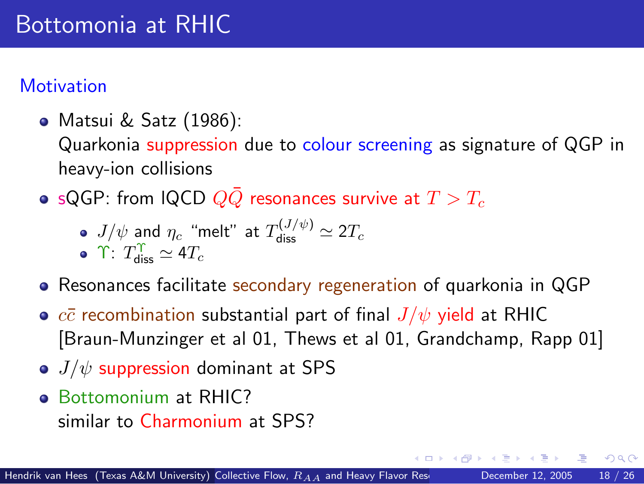#### **Motivation**

Matsui & Satz (1986):

Quarkonia suppression due to colour screening as signature of QGP in heavy-ion collisions

• sQGP: from IQCD  $Q\bar{Q}$  resonances survive at  $T > T_c$ 

\n- $$
J/\psi
$$
 and  $\eta_c$  "melt" at  $T_{\text{diss}}^{(J/\psi)} \simeq 2T_c$
\n- $\Upsilon$ :  $T_{\text{diss}}^{\Upsilon} \simeq 4T_c$
\n

- Resonances facilitate secondary regeneration of quarkonia in QGP
- $c\bar{c}$  recombination substantial part of final  $J/\psi$  yield at RHIC [Braun-Munzinger et al 01, Thews et al 01, Grandchamp, Rapp 01]
- $\bullet$  J/ $\psi$  suppression dominant at SPS
- **Bottomonium at RHIC?** similar to Charmonium at SPS?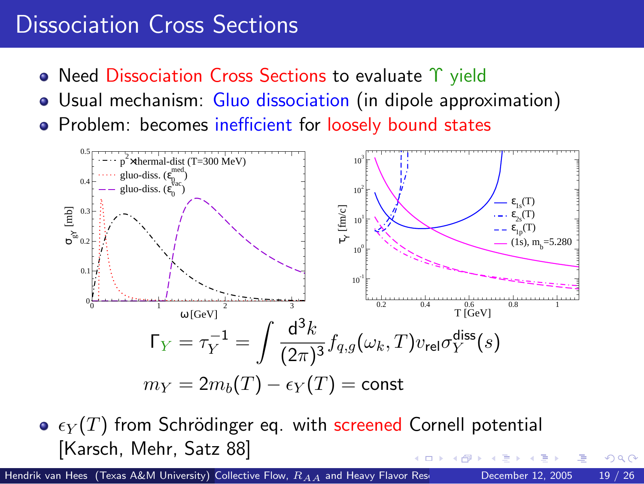### Dissociation Cross Sections

- Need Dissociation Cross Sections to evaluate Υ yield
- Usual mechanism: Gluo dissociation (in dipole approximation)
- Problem: becomes inefficient for loosely bound states



<span id="page-27-0"></span> $\bullet$   $\epsilon_Y(T)$  from Schrödinger eq. with screened Cornell potential [Karsch, Mehr, Satz 88]

Hendrik van Hees (Texas A&M University) Collective Flow,  $R_{A,A}$  [and Heavy Flavor Rescattering](#page-0-0) December 12, 2005 19 / 26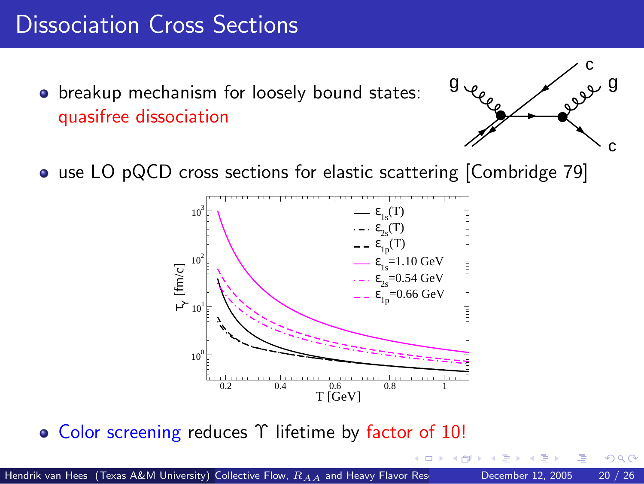## Dissociation Cross Sections

**•** breakup mechanism for loosely bound states: quasifree dissociation



 $\Omega$ 

• use LO pQCD cross sections for elastic scattering [Combridge 79]



• Color screening reduces Υ lifetime by factor of 10!

Hendrik van Hees (Texas A&M University) Collective Flow,  $R_{AA}$  [and Heavy Flavor Rescattering](#page-0-0) December 12, 2005 20 / 26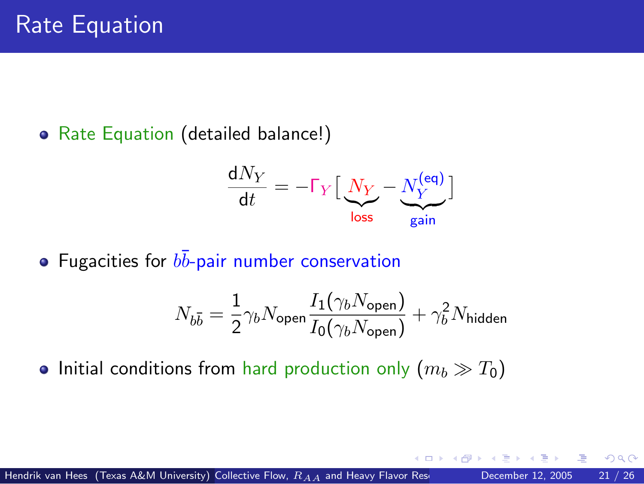• Rate Equation (detailed balance!)

$$
\frac{\mathrm{d}N_Y}{\mathrm{d}t} = -\Gamma_Y \left[ \underbrace{N_Y}_{\text{loss}} - \underbrace{N_Y^{\text{(eq)}}}_{\text{gain}} \right]
$$

Fugacities for  $b\bar{b}$ -pair number conservation

$$
N_{b\bar{b}} = \frac{1}{2}\gamma_b N_{\text{open}} \frac{I_1(\gamma_b N_{\text{open}})}{I_0(\gamma_b N_{\text{open}})} + \gamma_b^2 N_{\text{hidden}}
$$

<span id="page-29-0"></span>つひひ

• Initial conditions from hard production only  $(m_b \gg T_0)$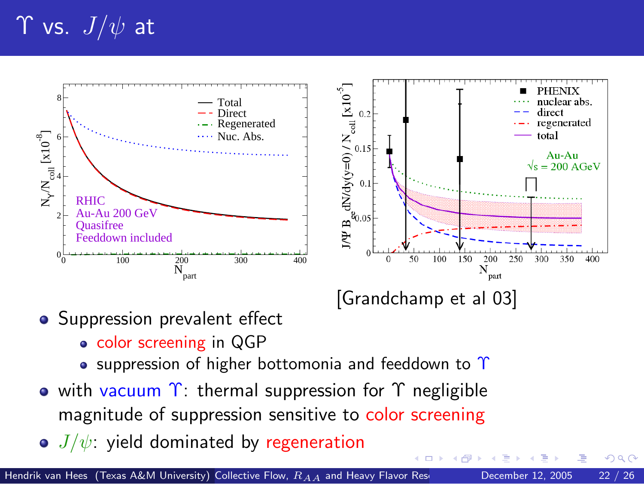# $\Upsilon$  vs.  $J/\psi$  at



• Suppression prevalent effect

- color screening in QGP
- <span id="page-30-0"></span>**•** suppression of higher bottomonia and feeddown to  $\Upsilon$
- with vacuum  $\gamma$ : thermal suppression for  $\gamma$  negligible magnitude of suppression sensitive to color screening
- $\bullet$   $J/\psi$ : yield dominated by regeneration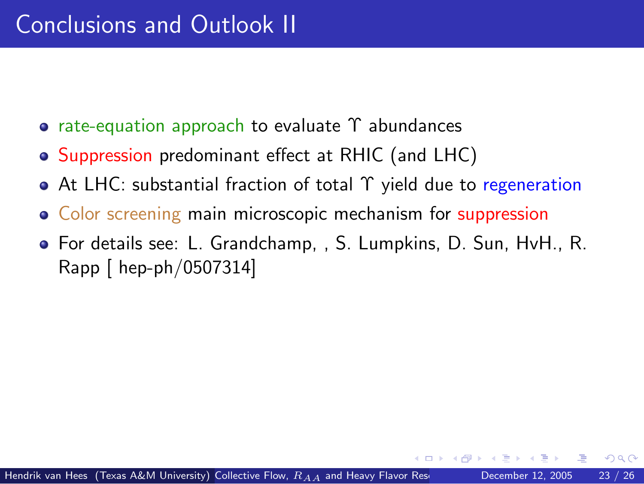- **·** rate-equation approach to evaluate Υ abundances
- Suppression predominant effect at RHIC (and LHC)
- At LHC: substantial fraction of total Υ yield due to regeneration
- Color screening main microscopic mechanism for suppression
- <span id="page-31-0"></span>For details see: L. Grandchamp, , S. Lumpkins, D. Sun, HvH., R. Rapp [ hep-ph/0507314]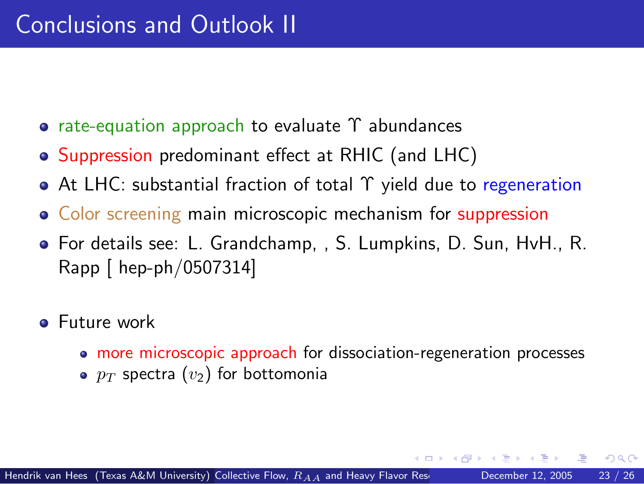- **·** rate-equation approach to evaluate Υ abundances
- Suppression predominant effect at RHIC (and LHC)
- At LHC: substantial fraction of total Υ yield due to regeneration
- Color screening main microscopic mechanism for suppression
- For details see: L. Grandchamp, , S. Lumpkins, D. Sun, HvH., R. Rapp [ hep-ph/0507314]
- **•** Future work
	- more microscopic approach for dissociation-regeneration processes

•  $p_T$  spectra  $(v_2)$  for bottomonia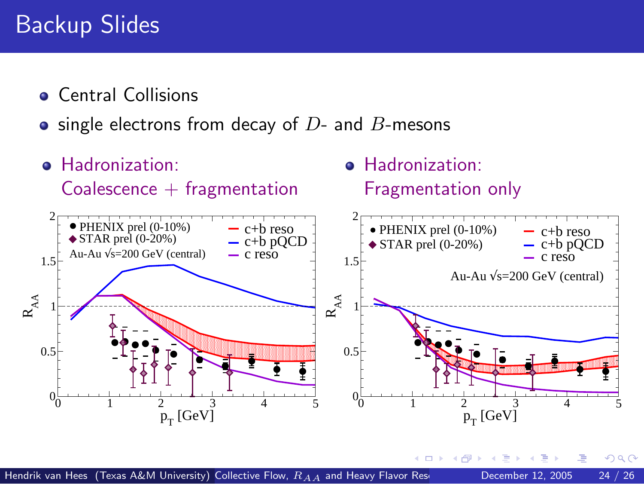## Backup Slides

- **Central Collisions**
- $\bullet$  single electrons from decay of  $D$  and  $B$ -mesons
- **e** Hadronization:  $Coalescence + fragmentation$ 0 1 2 3 4 5<br>P<sub>T</sub> [GeV]  $0<sub>0</sub>$ 0.5  $1$   $-$ 1.5  $2 \rightarrow$  PHENIX prel (0-10%)  $R_{AA}$  $-$  c+b reso  $-$  c+b pQCD<br> $-$  c reso Au-Au  $\sqrt{s}$ =200 GeV (central)  $\blacklozenge$  STAR prel (0-20%) **e** Hadronization: Fragmentation only 0 1 2 3 4 5  $p_T^{\phantom{\dagger}}$  [GeV]  $0_{\alpha}$ 0.5  $1 - 5$ 1.5  $2\Box$  $R_{\rm AA}$  $-$  c+b reso  $-$  c+b pQCD  $-$  c reso Au-Au  $\sqrt{s}$ =200 GeV (central) PHENIX prel (0-10%)  $\blacklozenge$  STAR prel (0-20%)

€⊡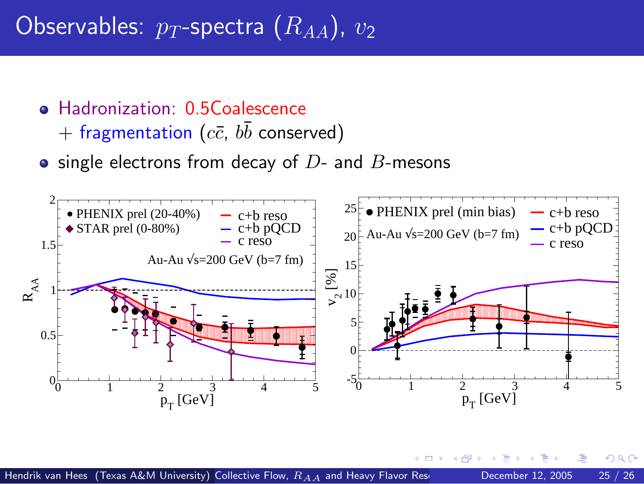# Observables:  $p_T$ -spectra  $(R_{AA})$ ,  $v_2$

- **Hadronization: 0.5Coalescence** 
	- $+$  fragmentation  $(c\bar{c},\,b\bar{b}% )\,$  conserved)
- $\bullet$  single electrons from decay of  $D$  and  $B$ -mesons



 $299$